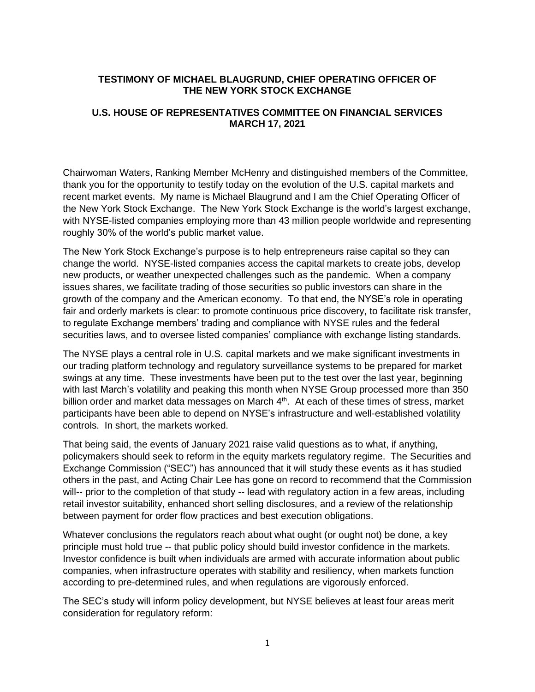# **TESTIMONY OF MICHAEL BLAUGRUND, CHIEF OPERATING OFFICER OF THE NEW YORK STOCK EXCHANGE**

# **U.S. HOUSE OF REPRESENTATIVES COMMITTEE ON FINANCIAL SERVICES MARCH 17, 2021**

Chairwoman Waters, Ranking Member McHenry and distinguished members of the Committee, thank you for the opportunity to testify today on the evolution of the U.S. capital markets and recent market events. My name is Michael Blaugrund and I am the Chief Operating Officer of the New York Stock Exchange. The New York Stock Exchange is the world's largest exchange, with NYSE-listed companies employing more than 43 million people worldwide and representing roughly 30% of the world's public market value.

The New York Stock Exchange's purpose is to help entrepreneurs raise capital so they can change the world. NYSE-listed companies access the capital markets to create jobs, develop new products, or weather unexpected challenges such as the pandemic. When a company issues shares, we facilitate trading of those securities so public investors can share in the growth of the company and the American economy. To that end, the NYSE's role in operating fair and orderly markets is clear: to promote continuous price discovery, to facilitate risk transfer, to regulate Exchange members' trading and compliance with NYSE rules and the federal securities laws, and to oversee listed companies' compliance with exchange listing standards.

The NYSE plays a central role in U.S. capital markets and we make significant investments in our trading platform technology and regulatory surveillance systems to be prepared for market swings at any time. These investments have been put to the test over the last year, beginning with last March's volatility and peaking this month when NYSE Group processed more than 350 billion order and market data messages on March 4<sup>th</sup>. At each of these times of stress, market participants have been able to depend on NYSE's infrastructure and well-established volatility controls. In short, the markets worked.

That being said, the events of January 2021 raise valid questions as to what, if anything, policymakers should seek to reform in the equity markets regulatory regime. The Securities and Exchange Commission ("SEC") has announced that it will study these events as it has studied others in the past, and Acting Chair Lee has gone on record to recommend that the Commission will-- prior to the completion of that study -- lead with regulatory action in a few areas, including retail investor suitability, enhanced short selling disclosures, and a review of the relationship between payment for order flow practices and best execution obligations.

Whatever conclusions the regulators reach about what ought (or ought not) be done, a key principle must hold true -- that public policy should build investor confidence in the markets. Investor confidence is built when individuals are armed with accurate information about public companies, when infrastructure operates with stability and resiliency, when markets function according to pre-determined rules, and when regulations are vigorously enforced.

The SEC's study will inform policy development, but NYSE believes at least four areas merit consideration for regulatory reform: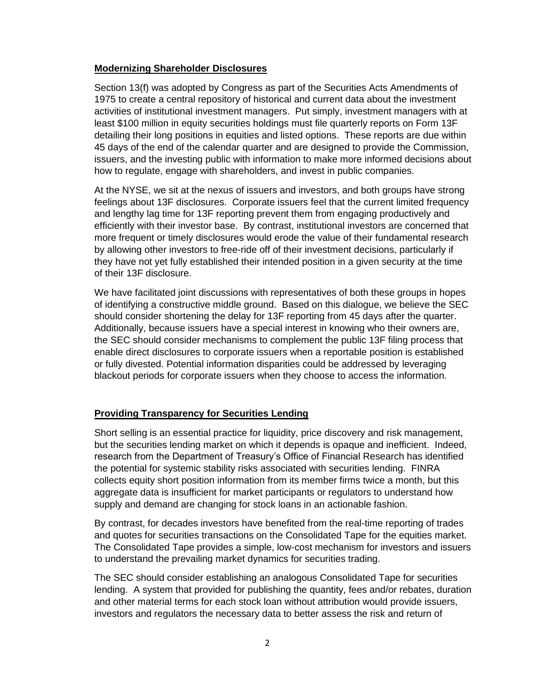## **Modernizing Shareholder Disclosures**

Section 13(f) was adopted by Congress as part of the Securities Acts Amendments of 1975 to create a central repository of historical and current data about the investment activities of institutional investment managers. Put simply, investment managers with at least \$100 million in equity securities holdings must file quarterly reports on Form 13F detailing their long positions in equities and listed options. These reports are due within 45 days of the end of the calendar quarter and are designed to provide the Commission, issuers, and the investing public with information to make more informed decisions about how to regulate, engage with shareholders, and invest in public companies.

At the NYSE, we sit at the nexus of issuers and investors, and both groups have strong feelings about 13F disclosures. Corporate issuers feel that the current limited frequency and lengthy lag time for 13F reporting prevent them from engaging productively and efficiently with their investor base. By contrast, institutional investors are concerned that more frequent or timely disclosures would erode the value of their fundamental research by allowing other investors to free-ride off of their investment decisions, particularly if they have not yet fully established their intended position in a given security at the time of their 13F disclosure.

We have facilitated joint discussions with representatives of both these groups in hopes of identifying a constructive middle ground. Based on this dialogue, we believe the SEC should consider shortening the delay for 13F reporting from 45 days after the quarter. Additionally, because issuers have a special interest in knowing who their owners are, the SEC should consider mechanisms to complement the public 13F filing process that enable direct disclosures to corporate issuers when a reportable position is established or fully divested. Potential information disparities could be addressed by leveraging blackout periods for corporate issuers when they choose to access the information.

# **Providing Transparency for Securities Lending**

Short selling is an essential practice for liquidity, price discovery and risk management, but the securities lending market on which it depends is opaque and inefficient. Indeed, research from the Department of Treasury's Office of Financial Research has identified the potential for systemic stability risks associated with securities lending. FINRA collects equity short position information from its member firms twice a month, but this aggregate data is insufficient for market participants or regulators to understand how supply and demand are changing for stock loans in an actionable fashion.

By contrast, for decades investors have benefited from the real-time reporting of trades and quotes for securities transactions on the Consolidated Tape for the equities market. The Consolidated Tape provides a simple, low-cost mechanism for investors and issuers to understand the prevailing market dynamics for securities trading.

The SEC should consider establishing an analogous Consolidated Tape for securities lending. A system that provided for publishing the quantity, fees and/or rebates, duration and other material terms for each stock loan without attribution would provide issuers, investors and regulators the necessary data to better assess the risk and return of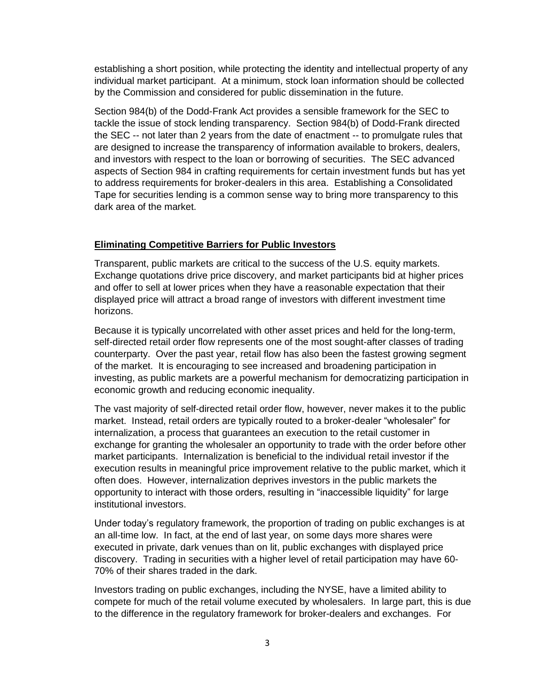establishing a short position, while protecting the identity and intellectual property of any individual market participant. At a minimum, stock loan information should be collected by the Commission and considered for public dissemination in the future.

Section 984(b) of the Dodd-Frank Act provides a sensible framework for the SEC to tackle the issue of stock lending transparency. Section 984(b) of Dodd-Frank directed the SEC -- not later than 2 years from the date of enactment -- to promulgate rules that are designed to increase the transparency of information available to brokers, dealers, and investors with respect to the loan or borrowing of securities. The SEC advanced aspects of Section 984 in crafting requirements for certain investment funds but has yet to address requirements for broker-dealers in this area. Establishing a Consolidated Tape for securities lending is a common sense way to bring more transparency to this dark area of the market.

#### **Eliminating Competitive Barriers for Public Investors**

Transparent, public markets are critical to the success of the U.S. equity markets. Exchange quotations drive price discovery, and market participants bid at higher prices and offer to sell at lower prices when they have a reasonable expectation that their displayed price will attract a broad range of investors with different investment time horizons.

Because it is typically uncorrelated with other asset prices and held for the long-term, self-directed retail order flow represents one of the most sought-after classes of trading counterparty. Over the past year, retail flow has also been the fastest growing segment of the market. It is encouraging to see increased and broadening participation in investing, as public markets are a powerful mechanism for democratizing participation in economic growth and reducing economic inequality.

The vast majority of self-directed retail order flow, however, never makes it to the public market. Instead, retail orders are typically routed to a broker-dealer "wholesaler" for internalization, a process that guarantees an execution to the retail customer in exchange for granting the wholesaler an opportunity to trade with the order before other market participants. Internalization is beneficial to the individual retail investor if the execution results in meaningful price improvement relative to the public market, which it often does. However, internalization deprives investors in the public markets the opportunity to interact with those orders, resulting in "inaccessible liquidity" for large institutional investors.

Under today's regulatory framework, the proportion of trading on public exchanges is at an all-time low. In fact, at the end of last year, on some days more shares were executed in private, dark venues than on lit, public exchanges with displayed price discovery. Trading in securities with a higher level of retail participation may have 60- 70% of their shares traded in the dark.

Investors trading on public exchanges, including the NYSE, have a limited ability to compete for much of the retail volume executed by wholesalers. In large part, this is due to the difference in the regulatory framework for broker-dealers and exchanges. For